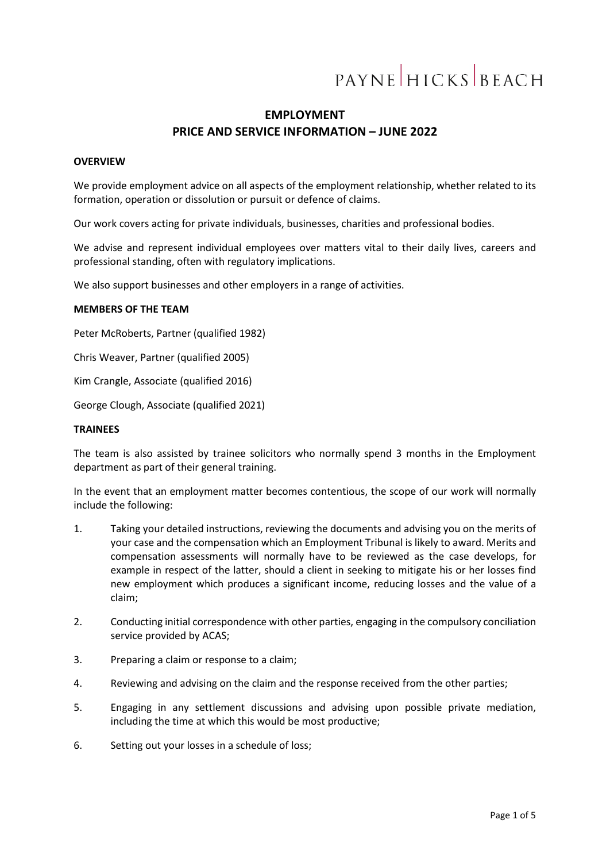# PAYNE HICKS BEACH

# **EMPLOYMENT PRICE AND SERVICE INFORMATION – JUNE 2022**

#### **OVERVIEW**

We provide employment advice on all aspects of the employment relationship, whether related to its formation, operation or dissolution or pursuit or defence of claims.

Our work covers acting for private individuals, businesses, charities and professional bodies.

We advise and represent individual employees over matters vital to their daily lives, careers and professional standing, often with regulatory implications.

We also support businesses and other employers in a range of activities.

#### **MEMBERS OF THE TEAM**

Peter McRoberts, Partner (qualified 1982)

Chris Weaver, Partner (qualified 2005)

Kim Crangle, Associate (qualified 2016)

George Clough, Associate (qualified 2021)

#### **TRAINEES**

The team is also assisted by trainee solicitors who normally spend 3 months in the Employment department as part of their general training.

In the event that an employment matter becomes contentious, the scope of our work will normally include the following:

- 1. Taking your detailed instructions, reviewing the documents and advising you on the merits of your case and the compensation which an Employment Tribunal is likely to award. Merits and compensation assessments will normally have to be reviewed as the case develops, for example in respect of the latter, should a client in seeking to mitigate his or her losses find new employment which produces a significant income, reducing losses and the value of a claim;
- 2. Conducting initial correspondence with other parties, engaging in the compulsory conciliation service provided by ACAS;
- 3. Preparing a claim or response to a claim;
- 4. Reviewing and advising on the claim and the response received from the other parties;
- 5. Engaging in any settlement discussions and advising upon possible private mediation, including the time at which this would be most productive;
- 6. Setting out your losses in a schedule of loss;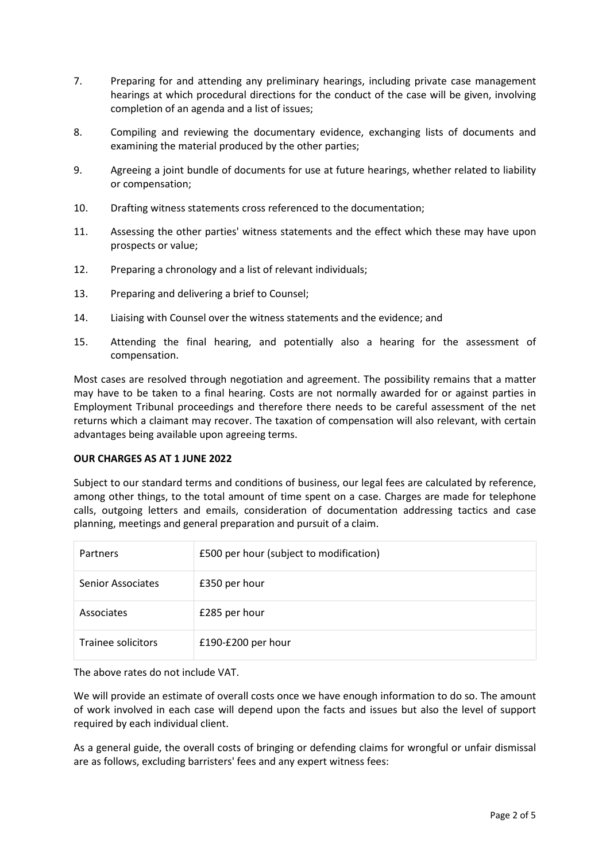- 7. Preparing for and attending any preliminary hearings, including private case management hearings at which procedural directions for the conduct of the case will be given, involving completion of an agenda and a list of issues;
- 8. Compiling and reviewing the documentary evidence, exchanging lists of documents and examining the material produced by the other parties;
- 9. Agreeing a joint bundle of documents for use at future hearings, whether related to liability or compensation;
- 10. Drafting witness statements cross referenced to the documentation;
- 11. Assessing the other parties' witness statements and the effect which these may have upon prospects or value;
- 12. Preparing a chronology and a list of relevant individuals;
- 13. Preparing and delivering a brief to Counsel;
- 14. Liaising with Counsel over the witness statements and the evidence; and
- 15. Attending the final hearing, and potentially also a hearing for the assessment of compensation.

Most cases are resolved through negotiation and agreement. The possibility remains that a matter may have to be taken to a final hearing. Costs are not normally awarded for or against parties in Employment Tribunal proceedings and therefore there needs to be careful assessment of the net returns which a claimant may recover. The taxation of compensation will also relevant, with certain advantages being available upon agreeing terms.

# **OUR CHARGES AS AT 1 JUNE 2022**

Subject to our standard terms and conditions of business, our legal fees are calculated by reference, among other things, to the total amount of time spent on a case. Charges are made for telephone calls, outgoing letters and emails, consideration of documentation addressing tactics and case planning, meetings and general preparation and pursuit of a claim.

| Partners                 | £500 per hour (subject to modification) |
|--------------------------|-----------------------------------------|
| <b>Senior Associates</b> | £350 per hour                           |
| Associates               | £285 per hour                           |
| Trainee solicitors       | £190-£200 per hour                      |

The above rates do not include VAT.

We will provide an estimate of overall costs once we have enough information to do so. The amount of work involved in each case will depend upon the facts and issues but also the level of support required by each individual client.

As a general guide, the overall costs of bringing or defending claims for wrongful or unfair dismissal are as follows, excluding barristers' fees and any expert witness fees: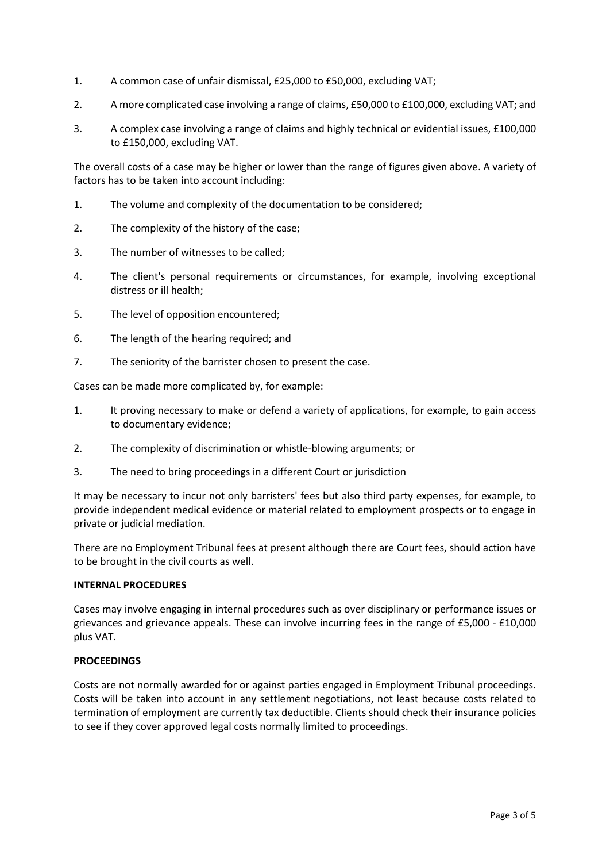- 1. A common case of unfair dismissal, £25,000 to £50,000, excluding VAT;
- 2. A more complicated case involving a range of claims, £50,000 to £100,000, excluding VAT; and
- 3. A complex case involving a range of claims and highly technical or evidential issues, £100,000 to £150,000, excluding VAT.

The overall costs of a case may be higher or lower than the range of figures given above. A variety of factors has to be taken into account including:

- 1. The volume and complexity of the documentation to be considered;
- 2. The complexity of the history of the case;
- 3. The number of witnesses to be called;
- 4. The client's personal requirements or circumstances, for example, involving exceptional distress or ill health;
- 5. The level of opposition encountered;
- 6. The length of the hearing required; and
- 7. The seniority of the barrister chosen to present the case.

Cases can be made more complicated by, for example:

- 1. It proving necessary to make or defend a variety of applications, for example, to gain access to documentary evidence;
- 2. The complexity of discrimination or whistle-blowing arguments; or
- 3. The need to bring proceedings in a different Court or jurisdiction

It may be necessary to incur not only barristers' fees but also third party expenses, for example, to provide independent medical evidence or material related to employment prospects or to engage in private or judicial mediation.

There are no Employment Tribunal fees at present although there are Court fees, should action have to be brought in the civil courts as well.

# **INTERNAL PROCEDURES**

Cases may involve engaging in internal procedures such as over disciplinary or performance issues or grievances and grievance appeals. These can involve incurring fees in the range of £5,000 - £10,000 plus VAT.

# **PROCEEDINGS**

Costs are not normally awarded for or against parties engaged in Employment Tribunal proceedings. Costs will be taken into account in any settlement negotiations, not least because costs related to termination of employment are currently tax deductible. Clients should check their insurance policies to see if they cover approved legal costs normally limited to proceedings.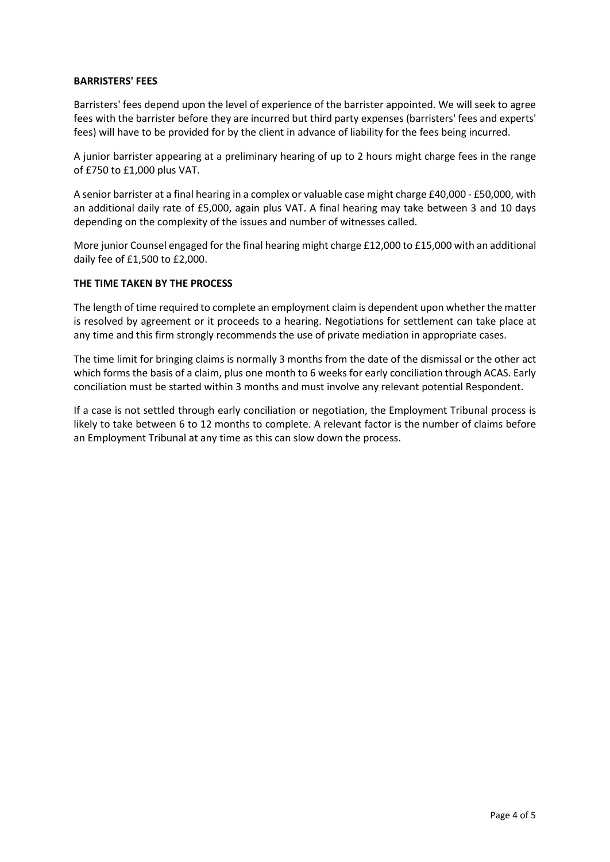### **BARRISTERS' FEES**

Barristers' fees depend upon the level of experience of the barrister appointed. We will seek to agree fees with the barrister before they are incurred but third party expenses (barristers' fees and experts' fees) will have to be provided for by the client in advance of liability for the fees being incurred.

A junior barrister appearing at a preliminary hearing of up to 2 hours might charge fees in the range of £750 to £1,000 plus VAT.

A senior barrister at a final hearing in a complex or valuable case might charge £40,000 - £50,000, with an additional daily rate of £5,000, again plus VAT. A final hearing may take between 3 and 10 days depending on the complexity of the issues and number of witnesses called.

More junior Counsel engaged for the final hearing might charge £12,000 to £15,000 with an additional daily fee of £1,500 to £2,000.

### **THE TIME TAKEN BY THE PROCESS**

The length of time required to complete an employment claim is dependent upon whether the matter is resolved by agreement or it proceeds to a hearing. Negotiations for settlement can take place at any time and this firm strongly recommends the use of private mediation in appropriate cases.

The time limit for bringing claims is normally 3 months from the date of the dismissal or the other act which forms the basis of a claim, plus one month to 6 weeks for early conciliation through ACAS. Early conciliation must be started within 3 months and must involve any relevant potential Respondent.

If a case is not settled through early conciliation or negotiation, the Employment Tribunal process is likely to take between 6 to 12 months to complete. A relevant factor is the number of claims before an Employment Tribunal at any time as this can slow down the process.